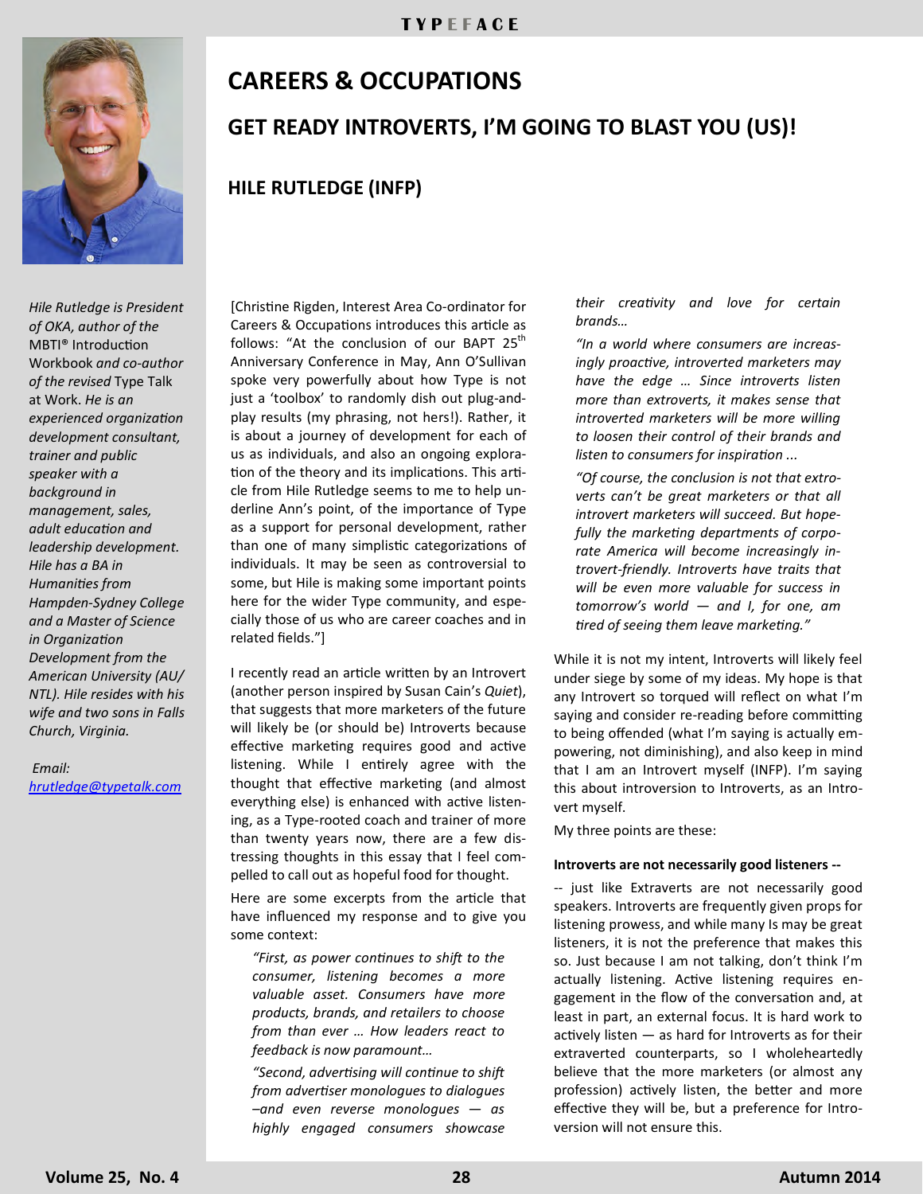

*Hile Rutledge is President of OKA, author of the*  MBTI® Introduction Workbook *and co-author of the revised* Type Talk at Work. *He is an experienced organization development consultant, trainer and public speaker with a background in management, sales, adult education and leadership development. Hile has a BA in Humanities from Hampden-Sydney College and a Master of Science in Organization Development from the American University (AU/ NTL). Hile resides with his wife and two sons in Falls Church, Virginia.*

 *Email: hrutledge@typetalk.com*

# **CAREERS & OCCUPATIONS GET READY INTROVERTS, I'M GOING TO BLAST YOU (US)!**

[Christine Rigden, Interest Area Co-ordinator for Careers & Occupations introduces this article as follows: "At the conclusion of our BAPT  $25<sup>th</sup>$ Anniversary Conference in May, Ann O'Sullivan spoke very powerfully about how Type is not just a 'toolbox' to randomly dish out plug-andplay results (my phrasing, not hers!). Rather, it is about a journey of development for each of us as individuals, and also an ongoing exploration of the theory and its implications. This article from Hile Rutledge seems to me to help underline Ann's point, of the importance of Type as a support for personal development, rather than one of many simplistic categorizations of individuals. It may be seen as controversial to some, but Hile is making some important points here for the wider Type community, and especially those of us who are career coaches and in related fields."]

**HILE RUTLEDGE (INFP)**

I recently read an article written by an Introvert (another person inspired by Susan Cain's *Quiet*), that suggests that more marketers of the future will likely be (or should be) Introverts because effective marketing requires good and active listening. While I entirely agree with the thought that effective marketing (and almost everything else) is enhanced with active listening, as a Type-rooted coach and trainer of more than twenty years now, there are a few distressing thoughts in this essay that I feel compelled to call out as hopeful food for thought.

Here are some excerpts from the article that have influenced my response and to give you some context:

*"First, as power continues to shift to the consumer, listening becomes a more valuable asset. Consumers have more products, brands, and retailers to choose from than ever … How leaders react to feedback is now paramount…*

*"Second, advertising will continue to shift from advertiser monologues to dialogues –and even reverse monologues — as highly engaged consumers showcase*  *their creativity and love for certain brands…*

*"In a world where consumers are increasingly proactive, introverted marketers may have the edge … Since introverts listen more than extroverts, it makes sense that introverted marketers will be more willing to loosen their control of their brands and listen to consumers for inspiration ...* 

*"Of course, the conclusion is not that extroverts can't be great marketers or that all introvert marketers will succeed. But hopefully the marketing departments of corporate America will become increasingly introvert-friendly. Introverts have traits that will be even more valuable for success in tomorrow's world — and I, for one, am tired of seeing them leave marketing."*

While it is not my intent, Introverts will likely feel under siege by some of my ideas. My hope is that any Introvert so torqued will reflect on what I'm saying and consider re-reading before committing to being offended (what I'm saying is actually empowering, not diminishing), and also keep in mind that I am an Introvert myself (INFP). I'm saying this about introversion to Introverts, as an Introvert myself.

My three points are these:

#### **Introverts are not necessarily good listeners --**

-- just like Extraverts are not necessarily good speakers. Introverts are frequently given props for listening prowess, and while many Is may be great listeners, it is not the preference that makes this so. Just because I am not talking, don't think I'm actually listening. Active listening requires engagement in the flow of the conversation and, at least in part, an external focus. It is hard work to actively listen — as hard for Introverts as for their extraverted counterparts, so I wholeheartedly believe that the more marketers (or almost any profession) actively listen, the better and more effective they will be, but a preference for Introversion will not ensure this.